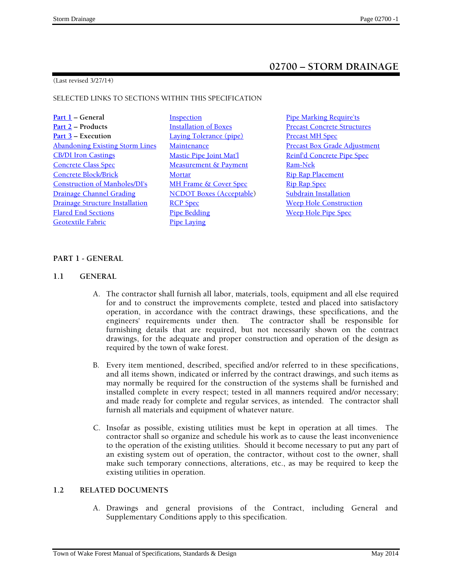# **02700 – STORM DRAINAGE**

#### (Last revised 3/27/14)

# SELECTED LINKS TO SECTIONS WITHIN THIS SPECIFICATION

**Part 1 – General** Inspection **Inspection** Pipe Marking Require'ts **Part 2 – Products** Installation of Boxes Precast Concrete Structures **Part 3** – Execution Laying Tolerance (pipe) Precast MH Spec Abandoning Existing Storm Lines Maintenance Precast Box Grade Adjustment CB/DI Iron Castings Mastic Pipe Joint Mat'l Reinf'd Concrete Pipe Spec Concrete Class Spec Measurement & Payment Ram-Nek Concrete Block/Brick Mortar Mortar Mortar Rip Rap Placement Construction of Manholes/DI's MH Frame & Cover Spec Rip Rap Spec Drainage Channel Grading MCDOT Boxes (Acceptable) Subdrain Installation<br>Drainage Structure Installation RCP Spec Meep Hole Construction Drainage Structure Installation RCP Spec Flared End Sections Pipe Bedding Weep Hole Pipe Spec Geotextile Fabric Pipe Laying

- 
- 

#### **PART 1 - GENERAL**

#### **1.1 GENERAL**

- A. The contractor shall furnish all labor, materials, tools, equipment and all else required for and to construct the improvements complete, tested and placed into satisfactory operation, in accordance with the contract drawings, these specifications, and the engineers' requirements under then. The contractor shall be responsible for furnishing details that are required, but not necessarily shown on the contract drawings, for the adequate and proper construction and operation of the design as required by the town of wake forest.
- B. Every item mentioned, described, specified and/or referred to in these specifications, and all items shown, indicated or inferred by the contract drawings, and such items as may normally be required for the construction of the systems shall be furnished and installed complete in every respect; tested in all manners required and/or necessary; and made ready for complete and regular services, as intended. The contractor shall furnish all materials and equipment of whatever nature.
- C. Insofar as possible, existing utilities must be kept in operation at all times. The contractor shall so organize and schedule his work as to cause the least inconvenience to the operation of the existing utilities. Should it become necessary to put any part of an existing system out of operation, the contractor, without cost to the owner, shall make such temporary connections, alterations, etc., as may be required to keep the existing utilities in operation.

#### **1.2 RELATED DOCUMENTS**

A. Drawings and general provisions of the Contract, including General and Supplementary Conditions apply to this specification.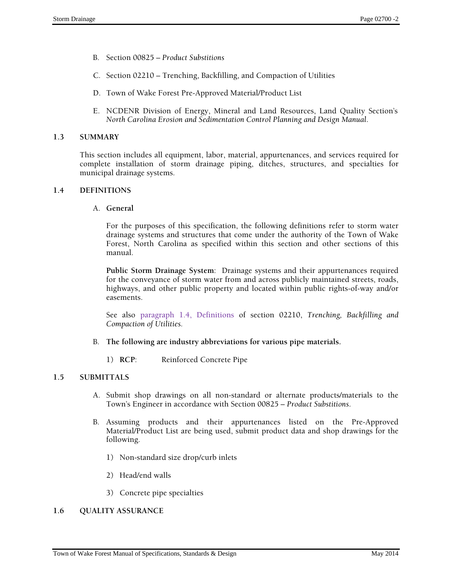- B. Section 00825 *Product Substitions*
- C. Section 02210 Trenching, Backfilling, and Compaction of Utilities
- D. Town of Wake Forest Pre-Approved Material/Product List
- E. NCDENR Division of Energy, Mineral and Land Resources, Land Quality Section's *North Carolina Erosion and Sedimentation Control Planning and Design Manual*.

#### **1.3 SUMMARY**

This section includes all equipment, labor, material, appurtenances, and services required for complete installation of storm drainage piping, ditches, structures, and specialties for municipal drainage systems.

#### **1.4 DEFINITIONS**

#### A. **General**

For the purposes of this specification, the following definitions refer to storm water drainage systems and structures that come under the authority of the Town of Wake Forest, North Carolina as specified within this section and other sections of this manual.

**Public Storm Drainage System**: Drainage systems and their appurtenances required for the conveyance of storm water from and across publicly maintained streets, roads, highways, and other public property and located within public rights-of-way and/or easements.

See also paragraph 1.4, Definitions of section 02210, *Trenching, Backfilling and Compaction of Utilities.*

- B. **The following are industry abbreviations for various pipe materials.** 
	- 1) **RCP**: Reinforced Concrete Pipe

# **1.5 SUBMITTALS**

- A. Submit shop drawings on all non-standard or alternate products/materials to the Town's Engineer in accordance with Section 00825 – *Product Substitions*.
- B. Assuming products and their appurtenances listed on the Pre-Approved Material/Product List are being used, submit product data and shop drawings for the following.
	- 1) Non-standard size drop/curb inlets
	- 2) Head/end walls
	- 3) Concrete pipe specialties

#### **1.6 QUALITY ASSURANCE**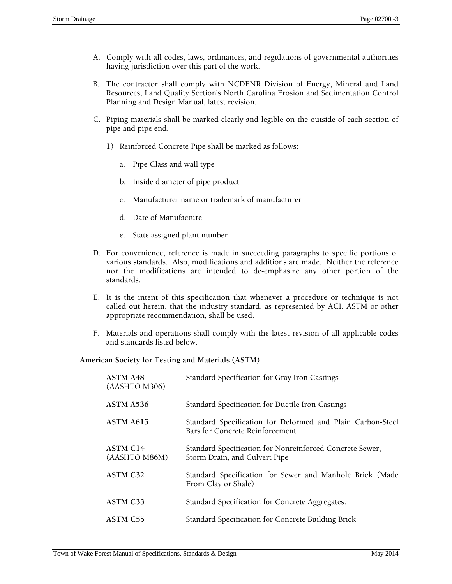- A. Comply with all codes, laws, ordinances, and regulations of governmental authorities having jurisdiction over this part of the work.
- B. The contractor shall comply with NCDENR Division of Energy, Mineral and Land Resources, Land Quality Section's North Carolina Erosion and Sedimentation Control Planning and Design Manual, latest revision.
- C. Piping materials shall be marked clearly and legible on the outside of each section of pipe and pipe end.
	- 1) Reinforced Concrete Pipe shall be marked as follows:
		- a. Pipe Class and wall type
		- b. Inside diameter of pipe product
		- c. Manufacturer name or trademark of manufacturer
		- d. Date of Manufacture
		- e. State assigned plant number
- D. For convenience, reference is made in succeeding paragraphs to specific portions of various standards. Also, modifications and additions are made. Neither the reference nor the modifications are intended to de-emphasize any other portion of the standards.
- E. It is the intent of this specification that whenever a procedure or technique is not called out herein, that the industry standard, as represented by ACI, ASTM or other appropriate recommendation, shall be used.
- F. Materials and operations shall comply with the latest revision of all applicable codes and standards listed below.

# **American Society for Testing and Materials (ASTM)**

| <b>ASTM A48</b><br>(AASHTO M306)      | Standard Specification for Gray Iron Castings                                                 |
|---------------------------------------|-----------------------------------------------------------------------------------------------|
| ASTM A536                             | Standard Specification for Ductile Iron Castings                                              |
| ASTM A615                             | Standard Specification for Deformed and Plain Carbon-Steel<br>Bars for Concrete Reinforcement |
| ASTM C <sub>14</sub><br>(AASHTO M86M) | Standard Specification for Nonreinforced Concrete Sewer,<br>Storm Drain, and Culvert Pipe     |
| <b>ASTM C32</b>                       | Standard Specification for Sewer and Manhole Brick (Made<br>From Clay or Shale)               |
| <b>ASTM C33</b>                       | Standard Specification for Concrete Aggregates.                                               |
| ASTM C55                              | Standard Specification for Concrete Building Brick                                            |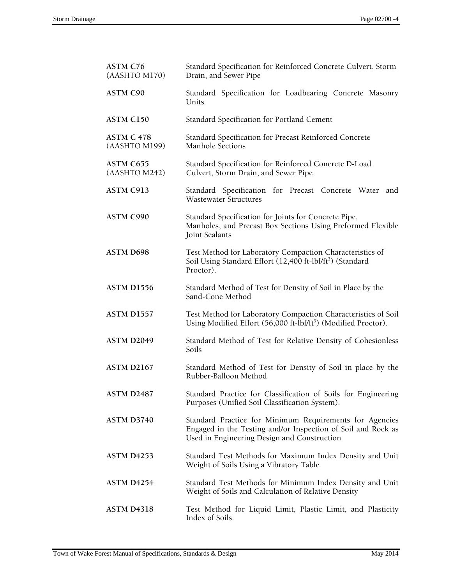| <b>ASTM C76</b><br>(AASHTO M170)  | Standard Specification for Reinforced Concrete Culvert, Storm<br>Drain, and Sewer Pipe                                                                                 |  |  |
|-----------------------------------|------------------------------------------------------------------------------------------------------------------------------------------------------------------------|--|--|
| <b>ASTM C90</b>                   | Standard Specification for Loadbearing Concrete Masonry<br>Units                                                                                                       |  |  |
| <b>ASTM C150</b>                  | Standard Specification for Portland Cement                                                                                                                             |  |  |
| ASTM C 478<br>(AASHTO M199)       | Standard Specification for Precast Reinforced Concrete<br><b>Manhole Sections</b>                                                                                      |  |  |
| <b>ASTM C655</b><br>(AASHTO M242) | Standard Specification for Reinforced Concrete D-Load<br>Culvert, Storm Drain, and Sewer Pipe                                                                          |  |  |
| <b>ASTM C913</b>                  | Standard Specification for Precast Concrete Water and<br><b>Wastewater Structures</b>                                                                                  |  |  |
| <b>ASTM C990</b>                  | Standard Specification for Joints for Concrete Pipe,<br>Manholes, and Precast Box Sections Using Preformed Flexible<br>Joint Sealants                                  |  |  |
| <b>ASTM D698</b>                  | Test Method for Laboratory Compaction Characteristics of<br>Soil Using Standard Effort (12,400 ft-lbf/ft <sup>3</sup> ) (Standard<br>Proctor).                         |  |  |
| ASTM D1556                        | Standard Method of Test for Density of Soil in Place by the<br>Sand-Cone Method                                                                                        |  |  |
| ASTM D1557                        | Test Method for Laboratory Compaction Characteristics of Soil<br>Using Modified Effort (56,000 ft-lbf/ft <sup>3</sup> ) (Modified Proctor).                            |  |  |
| ASTM D2049                        | Standard Method of Test for Relative Density of Cohesionless<br>Soils                                                                                                  |  |  |
| <b>ASTM D2167</b>                 | Standard Method of Test for Density of Soil in place by the<br>Rubber-Balloon Method                                                                                   |  |  |
| ASTM D2487                        | Standard Practice for Classification of Soils for Engineering<br>Purposes (Unified Soil Classification System).                                                        |  |  |
| ASTM D3740                        | Standard Practice for Minimum Requirements for Agencies<br>Engaged in the Testing and/or Inspection of Soil and Rock as<br>Used in Engineering Design and Construction |  |  |
| <b>ASTM D4253</b>                 | Standard Test Methods for Maximum Index Density and Unit<br>Weight of Soils Using a Vibratory Table                                                                    |  |  |
| ASTM D4254                        | Standard Test Methods for Minimum Index Density and Unit<br>Weight of Soils and Calculation of Relative Density                                                        |  |  |
| <b>ASTM D4318</b>                 | Test Method for Liquid Limit, Plastic Limit, and Plasticity<br>Index of Soils.                                                                                         |  |  |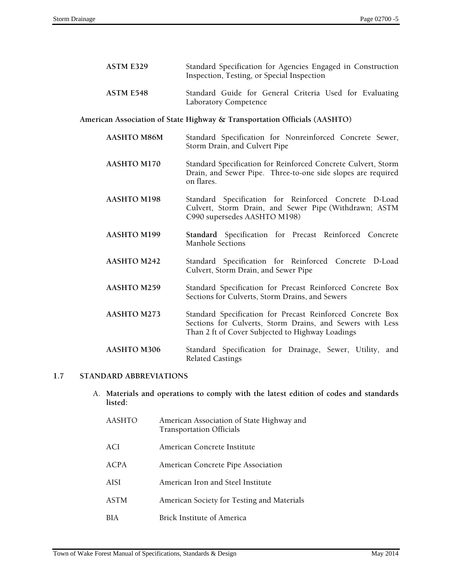| <b>ASTM E329</b>   | Standard Specification for Agencies Engaged in Construction<br>Inspection, Testing, or Special Inspection                                                                   |  |  |  |
|--------------------|-----------------------------------------------------------------------------------------------------------------------------------------------------------------------------|--|--|--|
| <b>ASTM E548</b>   | Standard Guide for General Criteria Used for Evaluating<br>Laboratory Competence                                                                                            |  |  |  |
|                    | American Association of State Highway & Transportation Officials (AASHTO)                                                                                                   |  |  |  |
| <b>AASHTO M86M</b> | Standard Specification for Nonreinforced Concrete Sewer,<br>Storm Drain, and Culvert Pipe                                                                                   |  |  |  |
| AASHTO M170        | Standard Specification for Reinforced Concrete Culvert, Storm<br>Drain, and Sewer Pipe. Three-to-one side slopes are required<br>on flares.                                 |  |  |  |
| <b>AASHTO M198</b> | Standard Specification for Reinforced Concrete D-Load<br>Culvert, Storm Drain, and Sewer Pipe (Withdrawn; ASTM<br>C990 supersedes AASHTO M198)                              |  |  |  |
| <b>AASHTO M199</b> | Standard Specification for Precast Reinforced Concrete<br>Manhole Sections                                                                                                  |  |  |  |
| <b>AASHTO M242</b> | Standard Specification for Reinforced Concrete D-Load<br>Culvert, Storm Drain, and Sewer Pipe                                                                               |  |  |  |
| AASHTO M259        | Standard Specification for Precast Reinforced Concrete Box<br>Sections for Culverts, Storm Drains, and Sewers                                                               |  |  |  |
| AASHTO M273        | Standard Specification for Precast Reinforced Concrete Box<br>Sections for Culverts, Storm Drains, and Sewers with Less<br>Than 2 ft of Cover Subjected to Highway Loadings |  |  |  |
| AASHTO M306        | Standard Specification for Drainage, Sewer, Utility, and<br><b>Related Castings</b>                                                                                         |  |  |  |
|                    |                                                                                                                                                                             |  |  |  |

#### **1.7 STANDARD ABBREVIATIONS**

- A. **Materials and operations to comply with the latest edition of codes and standards listed:** 
	- AASHTO American Association of State Highway and Transportation Officials
	- ACI American Concrete Institute
	- ACPA American Concrete Pipe Association
	- AISI American Iron and Steel Institute
	- ASTM American Society for Testing and Materials
	- BIA Brick Institute of America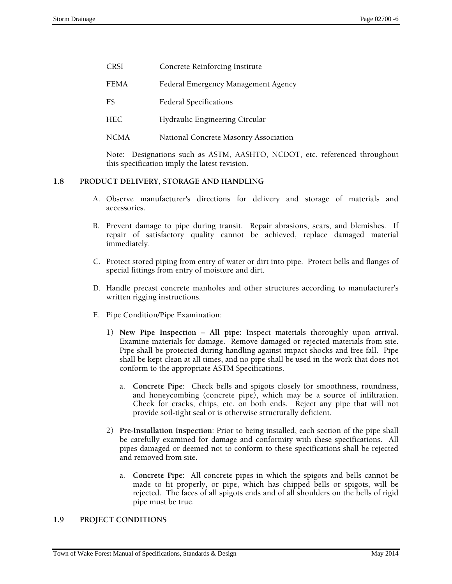- CRSI Concrete Reinforcing Institute
- FEMA Federal Emergency Management Agency
- FS Federal Specifications
- HEC Hydraulic Engineering Circular
- NCMA National Concrete Masonry Association

Note: Designations such as ASTM, AASHTO, NCDOT, etc. referenced throughout this specification imply the latest revision.

# **1.8 PRODUCT DELIVERY, STORAGE AND HANDLING**

- A. Observe manufacturer's directions for delivery and storage of materials and accessories.
- B. Prevent damage to pipe during transit. Repair abrasions, scars, and blemishes. If repair of satisfactory quality cannot be achieved, replace damaged material immediately.
- C. Protect stored piping from entry of water or dirt into pipe. Protect bells and flanges of special fittings from entry of moisture and dirt.
- D. Handle precast concrete manholes and other structures according to manufacturer's written rigging instructions.
- E. Pipe Condition/Pipe Examination:
	- 1) **New Pipe Inspection All pipe**: Inspect materials thoroughly upon arrival. Examine materials for damage. Remove damaged or rejected materials from site. Pipe shall be protected during handling against impact shocks and free fall. Pipe shall be kept clean at all times, and no pipe shall be used in the work that does not conform to the appropriate ASTM Specifications.
		- a. **Concrete Pipe:** Check bells and spigots closely for smoothness, roundness, and honeycombing (concrete pipe), which may be a source of infiltration. Check for cracks, chips, etc. on both ends. Reject any pipe that will not provide soil-tight seal or is otherwise structurally deficient.
	- 2) **Pre-Installation Inspection**: Prior to being installed, each section of the pipe shall be carefully examined for damage and conformity with these specifications. All pipes damaged or deemed not to conform to these specifications shall be rejected and removed from site.
		- a. **Concrete Pipe**: All concrete pipes in which the spigots and bells cannot be made to fit properly, or pipe, which has chipped bells or spigots, will be rejected. The faces of all spigots ends and of all shoulders on the bells of rigid pipe must be true.

# **1.9 PROJECT CONDITIONS**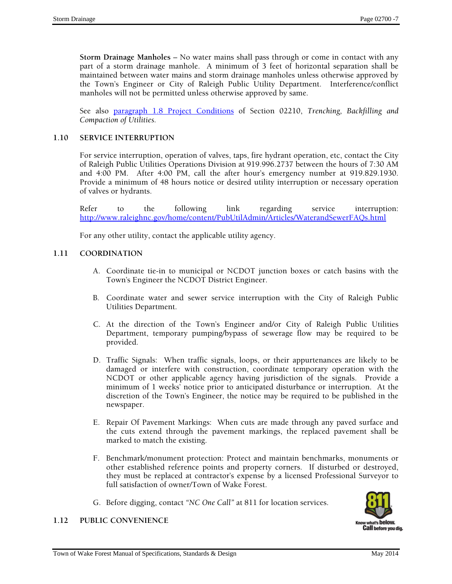**Storm Drainage Manholes** – No water mains shall pass through or come in contact with any part of a storm drainage manhole. A minimum of 3 feet of horizontal separation shall be maintained between water mains and storm drainage manholes unless otherwise approved by the Town's Engineer or City of Raleigh Public Utility Department. Interference/conflict manholes will not be permitted unless otherwise approved by same.

See also paragraph 1.8 Project Conditions of Section 02210, *Trenching, Backfilling and Compaction of Utilities.*

# **1.10 SERVICE INTERRUPTION**

For service interruption, operation of valves, taps, fire hydrant operation, etc, contact the City of Raleigh Public Utilities Operations Division at 919.996.2737 between the hours of 7:30 AM and 4:00 PM. After 4:00 PM, call the after hour's emergency number at 919.829.1930. Provide a minimum of 48 hours notice or desired utility interruption or necessary operation of valves or hydrants.

Refer to the following link regarding service interruption: http://www.raleighnc.gov/home/content/PubUtilAdmin/Articles/WaterandSewerFAQs.html

For any other utility, contact the applicable utility agency.

# **1.11 COORDINATION**

- A. Coordinate tie-in to municipal or NCDOT junction boxes or catch basins with the Town's Engineer the NCDOT District Engineer.
- B. Coordinate water and sewer service interruption with the City of Raleigh Public Utilities Department.
- C. At the direction of the Town's Engineer and/or City of Raleigh Public Utilities Department, temporary pumping/bypass of sewerage flow may be required to be provided.
- D. Traffic Signals: When traffic signals, loops, or their appurtenances are likely to be damaged or interfere with construction, coordinate temporary operation with the NCDOT or other applicable agency having jurisdiction of the signals. Provide a minimum of 1 weeks' notice prior to anticipated disturbance or interruption. At the discretion of the Town's Engineer, the notice may be required to be published in the newspaper.
- E. Repair Of Pavement Markings: When cuts are made through any paved surface and the cuts extend through the pavement markings, the replaced pavement shall be marked to match the existing.
- F. Benchmark/monument protection: Protect and maintain benchmarks, monuments or other established reference points and property corners. If disturbed or destroyed, they must be replaced at contractor's expense by a licensed Professional Surveyor to full satisfaction of owner/Town of Wake Forest.
- G. Before digging, contact *"NC One Call"* at 811 for location services.

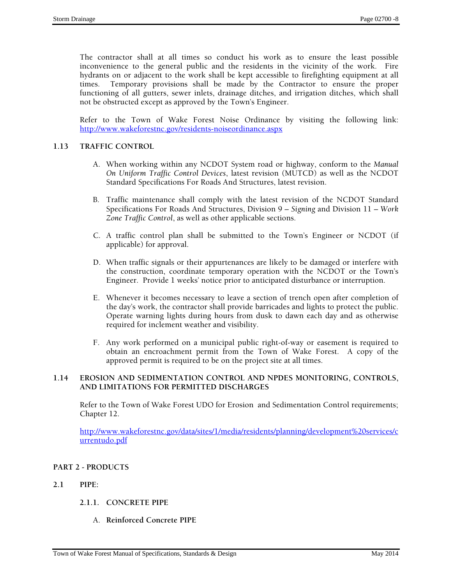The contractor shall at all times so conduct his work as to ensure the least possible inconvenience to the general public and the residents in the vicinity of the work. Fire hydrants on or adjacent to the work shall be kept accessible to firefighting equipment at all times. Temporary provisions shall be made by the Contractor to ensure the proper functioning of all gutters, sewer inlets, drainage ditches, and irrigation ditches, which shall not be obstructed except as approved by the Town's Engineer.

Refer to the Town of Wake Forest Noise Ordinance by visiting the following link: http://www.wakeforestnc.gov/residents-noiseordinance.aspx

# **1.13 TRAFFIC CONTROL**

- A. When working within any NCDOT System road or highway, conform to the *Manual On Uniform Traffic Control Devices*, latest revision (MUTCD) as well as the NCDOT Standard Specifications For Roads And Structures, latest revision.
- B. Traffic maintenance shall comply with the latest revision of the NCDOT Standard Specifications For Roads And Structures, Division 9 *– Signing* and Division 11 *– Work Zone Traffic Control*, as well as other applicable sections.
- C. A traffic control plan shall be submitted to the Town's Engineer or NCDOT (if applicable) for approval.
- D. When traffic signals or their appurtenances are likely to be damaged or interfere with the construction, coordinate temporary operation with the NCDOT or the Town's Engineer. Provide 1 weeks' notice prior to anticipated disturbance or interruption.
- E. Whenever it becomes necessary to leave a section of trench open after completion of the day's work, the contractor shall provide barricades and lights to protect the public. Operate warning lights during hours from dusk to dawn each day and as otherwise required for inclement weather and visibility.
- F. Any work performed on a municipal public right-of-way or easement is required to obtain an encroachment permit from the Town of Wake Forest. A copy of the approved permit is required to be on the project site at all times.

# **1.14 EROSION AND SEDIMENTATION CONTROL AND NPDES MONITORING, CONTROLS, AND LIMITATIONS FOR PERMITTED DISCHARGES**

Refer to the Town of Wake Forest UDO for Erosion and Sedimentation Control requirements; Chapter 12.

http://www.wakeforestnc.gov/data/sites/1/media/residents/planning/development%20services/c urrentudo.pdf

# **PART 2 - PRODUCTS**

- **2.1 PIPE:** 
	- **2.1.1. CONCRETE PIPE** 
		- A. **Reinforced Concrete PIPE**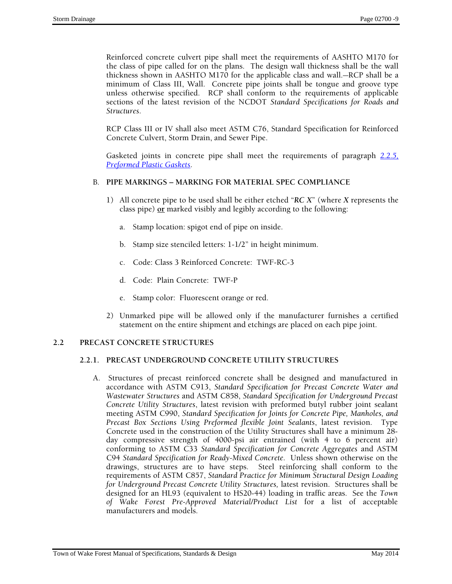Reinforced concrete culvert pipe shall meet the requirements of AASHTO M170 for the class of pipe called for on the plans. The design wall thickness shall be the wall thickness shown in AASHTO M170 for the applicable class and wall.—RCP shall be a minimum of Class III, Wall. Concrete pipe joints shall be tongue and groove type unless otherwise specified. RCP shall conform to the requirements of applicable sections of the latest revision of the NCDOT *Standard Specifications for Roads and Structures*.

RCP Class III or IV shall also meet ASTM C76, Standard Specification for Reinforced Concrete Culvert, Storm Drain, and Sewer Pipe.

Gasketed joints in concrete pipe shall meet the requirements of paragraph *2.2.5, Preformed Plastic Gaskets*.

# B. **PIPE MARKINGS – MARKING FOR MATERIAL SPEC COMPLIANCE**

- 1) All concrete pipe to be used shall be either etched "*RC X*" (where *X* represents the class pipe) **or** marked visibly and legibly according to the following:
	- a. Stamp location: spigot end of pipe on inside.
	- b. Stamp size stenciled letters: 1-1/2" in height minimum.
	- c. Code: Class 3 Reinforced Concrete: TWF-RC-3
	- d. Code: Plain Concrete: TWF-P
	- e. Stamp color: Fluorescent orange or red.
- 2) Unmarked pipe will be allowed only if the manufacturer furnishes a certified statement on the entire shipment and etchings are placed on each pipe joint.

# **2.2 PRECAST CONCRETE STRUCTURES**

# **2.2.1. PRECAST UNDERGROUND CONCRETE UTILITY STRUCTURES**

A. Structures of precast reinforced concrete shall be designed and manufactured in accordance with ASTM C913, *Standard Specification for Precast Concrete Water and Wastewater Structures* and ASTM C858, *Standard Specification for Underground Precast Concrete Utility Structures*, latest revision with preformed butyl rubber joint sealant meeting ASTM C990, *Standard Specification for Joints for Concrete Pipe, Manholes, and Precast Box Sections Using Preformed flexible Joint Sealants*, latest revision. Type Concrete used in the construction of the Utility Structures shall have a minimum 28 day compressive strength of 4000-psi air entrained (with 4 to 6 percent air) conforming to ASTM C33 *Standard Specification for Concrete Aggregates* and ASTM C94 *Standard Specification for Ready-Mixed Concrete*. Unless shown otherwise on the drawings, structures are to have steps. Steel reinforcing shall conform to the requirements of ASTM C857, *Standard Practice for Minimum Structural Design Loading for Underground Precast Concrete Utility Structures,* latest revision. Structures shall be designed for an HL93 (equivalent to HS20-44) loading in traffic areas. See the *Town of Wake Forest Pre-Approved Material/Product List* for a list of acceptable manufacturers and models.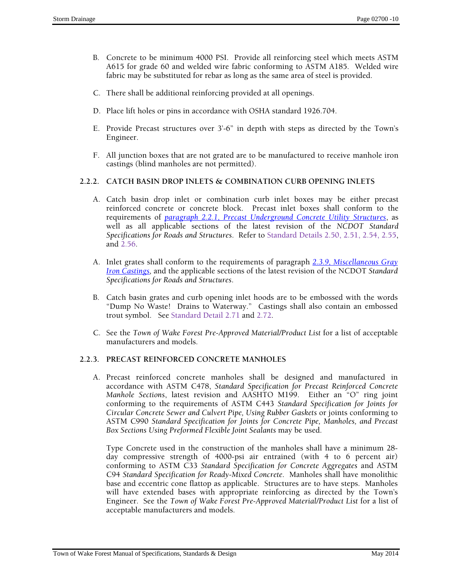- B. Concrete to be minimum 4000 PSI. Provide all reinforcing steel which meets ASTM A615 for grade 60 and welded wire fabric conforming to ASTM A185. Welded wire fabric may be substituted for rebar as long as the same area of steel is provided.
- C. There shall be additional reinforcing provided at all openings.
- D. Place lift holes or pins in accordance with OSHA standard 1926.704.
- E. Provide Precast structures over 3'-6" in depth with steps as directed by the Town's Engineer.
- F. All junction boxes that are not grated are to be manufactured to receive manhole iron castings (blind manholes are not permitted).

# **2.2.2. CATCH BASIN DROP INLETS & COMBINATION CURB OPENING INLETS**

- A. Catch basin drop inlet or combination curb inlet boxes may be either precast reinforced concrete or concrete block. Precast inlet boxes shall conform to the requirements of *paragraph 2.2.1, Precast Underground Concrete Utility Structures*, as well as all applicable sections of the latest revision of the *NCDOT Standard Specifications for Roads and Structures*. Refer to Standard Details 2.50, 2.51, 2.54, 2.55, and 2.56.
- A. Inlet grates shall conform to the requirements of paragraph *2.3.9, Miscellaneous Gray Iron Castings,* and the applicable sections of the latest revision of the NCDOT *Standard Specifications for Roads and Structures*.
- B. Catch basin grates and curb opening inlet hoods are to be embossed with the words "Dump No Waste! Drains to Waterway." Castings shall also contain an embossed trout symbol. See Standard Detail 2.71 and 2.72.
- C. See the *Town of Wake Forest Pre-Approved Material/Product List* for a list of acceptable manufacturers and models.

# **2.2.3. PRECAST REINFORCED CONCRETE MANHOLES**

A. Precast reinforced concrete manholes shall be designed and manufactured in accordance with ASTM C478, *Standard Specification for Precast Reinforced Concrete Manhole Sections*, latest revision and AASHTO M199. Either an "O" ring joint conforming to the requirements of ASTM C443 *Standard Specification for Joints for Circular Concrete Sewer and Culvert Pipe, Using Rubber Gaskets* or joints conforming to ASTM C990 *Standard Specification for Joints for Concrete Pipe, Manholes, and Precast Box Sections Using Preformed Flexible Joint Sealants* may be used.

Type Concrete used in the construction of the manholes shall have a minimum 28 day compressive strength of 4000-psi air entrained (with 4 to 6 percent air) conforming to ASTM C33 *Standard Specification for Concrete Aggregates* and ASTM C94 *Standard Specification for Ready-Mixed Concrete*. Manholes shall have monolithic base and eccentric cone flattop as applicable. Structures are to have steps. Manholes will have extended bases with appropriate reinforcing as directed by the Town's Engineer. See the *Town of Wake Forest Pre-Approved Material/Product List* for a list of acceptable manufacturers and models.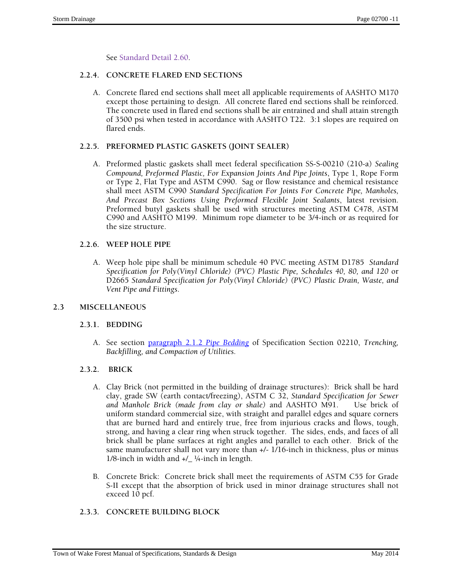See Standard Detail 2.60.

# **2.2.4. CONCRETE FLARED END SECTIONS**

A. Concrete flared end sections shall meet all applicable requirements of AASHTO M170 except those pertaining to design. All concrete flared end sections shall be reinforced. The concrete used in flared end sections shall be air entrained and shall attain strength of 3500 psi when tested in accordance with AASHTO T22. 3:1 slopes are required on flared ends.

# **2.2.5. PREFORMED PLASTIC GASKETS (JOINT SEALER)**

A. Preformed plastic gaskets shall meet federal specification SS-S-00210 (210-a) *Sealing Compound, Preformed Plastic, For Expansion Joints And Pipe Joints*, Type 1, Rope Form or Type 2, Flat Type and ASTM C990. Sag or flow resistance and chemical resistance shall meet ASTM C990 *Standard Specification For Joints For Concrete Pipe, Manholes, And Precast Box Sections Using Preformed Flexible Joint Sealants*, latest revision. Preformed butyl gaskets shall be used with structures meeting ASTM C478, ASTM C990 and AASHTO M199. Minimum rope diameter to be 3/4-inch or as required for the size structure.

#### **2.2.6. WEEP HOLE PIPE**

A. Weep hole pipe shall be minimum schedule 40 PVC meeting ASTM D1785 *Standard Specification for Poly(Vinyl Chloride) (PVC) Plastic Pipe, Schedules 40, 80, and 120* or D2665 *Standard Specification for Poly(Vinyl Chloride) (PVC) Plastic Drain, Waste, and Vent Pipe and Fittings*.

# **2.3 MISCELLANEOUS**

# **2.3.1. BEDDING**

A. See section paragraph 2.1.2 *Pipe Bedding* of Specification Section 02210, *Trenching, Backfilling, and Compaction of Utilities*.

# **2.3.2. BRICK**

- A. Clay Brick (not permitted in the building of drainage structures): Brick shall be hard clay, grade SW (earth contact/freezing), ASTM C 32, *Standard Specification for Sewer and Manhole Brick (made from clay or shale)* and AASHTO M91. Use brick of uniform standard commercial size, with straight and parallel edges and square corners that are burned hard and entirely true, free from injurious cracks and flows, tough, strong, and having a clear ring when struck together. The sides, ends, and faces of all brick shall be plane surfaces at right angles and parallel to each other. Brick of the same manufacturer shall not vary more than +/- 1/16-inch in thickness, plus or minus 1/8-inch in width and  $+/-$  ¼-inch in length.
- B. Concrete Brick: Concrete brick shall meet the requirements of ASTM C55 for Grade S-II except that the absorption of brick used in minor drainage structures shall not exceed 10 pcf.

# **2.3.3. CONCRETE BUILDING BLOCK**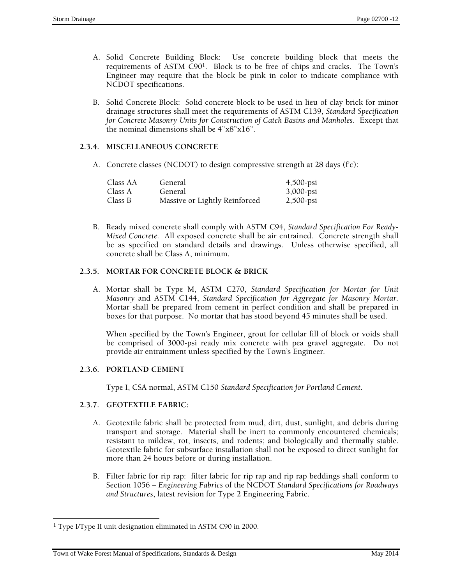- A. Solid Concrete Building Block: Use concrete building block that meets the requirements of ASTM C901. Block is to be free of chips and cracks. The Town's Engineer may require that the block be pink in color to indicate compliance with NCDOT specifications.
- B. Solid Concrete Block: Solid concrete block to be used in lieu of clay brick for minor drainage structures shall meet the requirements of ASTM C139, *Standard Specification for Concrete Masonry Units for Construction of Catch Basins and Manholes*. Except that the nominal dimensions shall be 4"x8"x16".

# **2.3.4. MISCELLANEOUS CONCRETE**

A. Concrete classes (NCDOT) to design compressive strength at 28 days (fc):

| Class AA | General                       | $4,500$ -psi |
|----------|-------------------------------|--------------|
| Class A  | General                       | 3,000-psi    |
| Class B  | Massive or Lightly Reinforced | $2,500$ -psi |

B. Ready mixed concrete shall comply with ASTM C94, *Standard Specification For Ready-Mixed Concrete.* All exposed concrete shall be air entrained. Concrete strength shall be as specified on standard details and drawings. Unless otherwise specified, all concrete shall be Class A, minimum.

# **2.3.5. MORTAR FOR CONCRETE BLOCK & BRICK**

A. Mortar shall be Type M, ASTM C270, *Standard Specification for Mortar for Unit Masonry* and ASTM C144, *Standard Specification for Aggregate for Masonry Mortar.*  Mortar shall be prepared from cement in perfect condition and shall be prepared in boxes for that purpose. No mortar that has stood beyond 45 minutes shall be used.

When specified by the Town's Engineer, grout for cellular fill of block or voids shall be comprised of 3000-psi ready mix concrete with pea gravel aggregate. Do not provide air entrainment unless specified by the Town's Engineer.

# **2.3.6. PORTLAND CEMENT**

Type I, CSA normal, ASTM C150 *Standard Specification for Portland Cement*.

# **2.3.7. GEOTEXTILE FABRIC:**

- A. Geotextile fabric shall be protected from mud, dirt, dust, sunlight, and debris during transport and storage. Material shall be inert to commonly encountered chemicals; resistant to mildew, rot, insects, and rodents; and biologically and thermally stable. Geotextile fabric for subsurface installation shall not be exposed to direct sunlight for more than 24 hours before or during installation.
- B. Filter fabric for rip rap: filter fabric for rip rap and rip rap beddings shall conform to Section 1056 – *Engineering Fabrics* of the NCDOT *Standard Specifications for Roadways and Structures*, latest revision for Type 2 Engineering Fabric.

 $\overline{\phantom{a}}$ 

<sup>1</sup> Type I/Type II unit designation eliminated in ASTM C90 in 2000.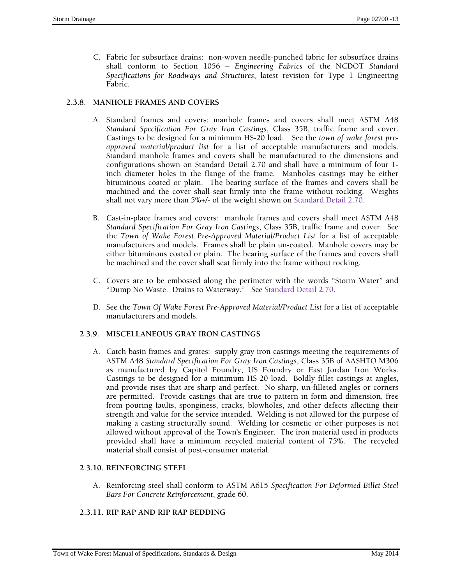C. Fabric for subsurface drains: non-woven needle-punched fabric for subsurface drains shall conform to Section 1056 – *Engineering Fabrics* of the NCDOT *Standard Specifications for Roadways and Structures*, latest revision for Type 1 Engineering Fabric.

# **2.3.8. MANHOLE FRAMES AND COVERS**

- A. Standard frames and covers: manhole frames and covers shall meet ASTM A48 *Standard Specification For Gray Iron Castings*, Class 35B, traffic frame and cover. Castings to be designed for a minimum HS-20 load. See the *town of wake forest preapproved material/product list* for a list of acceptable manufacturers and models. Standard manhole frames and covers shall be manufactured to the dimensions and configurations shown on Standard Detail 2.70 and shall have a minimum of four 1 inch diameter holes in the flange of the frame*.* Manholes castings may be either bituminous coated or plain. The bearing surface of the frames and covers shall be machined and the cover shall seat firmly into the frame without rocking. Weights shall not vary more than 5%+/- of the weight shown on Standard Detail 2.70.
- B. Cast-in-place frames and covers: manhole frames and covers shall meet ASTM A48 *Standard Specification For Gray Iron Castings*, Class 35B, traffic frame and cover. See the *Town of Wake Forest Pre-Approved Material/Product List* for a list of acceptable manufacturers and models. Frames shall be plain un-coated. Manhole covers may be either bituminous coated or plain. The bearing surface of the frames and covers shall be machined and the cover shall seat firmly into the frame without rocking.
- C. Covers are to be embossed along the perimeter with the words "Storm Water" and "Dump No Waste. Drains to Waterway." See Standard Detail 2.70.
- D. See the *Town Of Wake Forest Pre-Approved Material/Product List* for a list of acceptable manufacturers and models.

# **2.3.9. MISCELLANEOUS GRAY IRON CASTINGS**

A. Catch basin frames and grates: supply gray iron castings meeting the requirements of ASTM A48 *Standard Specification For Gray Iron Castings*, Class 35B of AASHTO M306 as manufactured by Capitol Foundry, US Foundry or East Jordan Iron Works. Castings to be designed for a minimum HS-20 load. Boldly fillet castings at angles, and provide rises that are sharp and perfect. No sharp, un-filleted angles or corners are permitted. Provide castings that are true to pattern in form and dimension, free from pouring faults, sponginess, cracks, blowholes, and other defects affecting their strength and value for the service intended. Welding is not allowed for the purpose of making a casting structurally sound. Welding for cosmetic or other purposes is not allowed without approval of the Town's Engineer. The iron material used in products provided shall have a minimum recycled material content of 75%. The recycled material shall consist of post-consumer material.

# **2.3.10. REINFORCING STEEL**

A. Reinforcing steel shall conform to ASTM A615 *Specification For Deformed Billet-Steel Bars For Concrete Reinforcement*, grade 60.

# **2.3.11. RIP RAP AND RIP RAP BEDDING**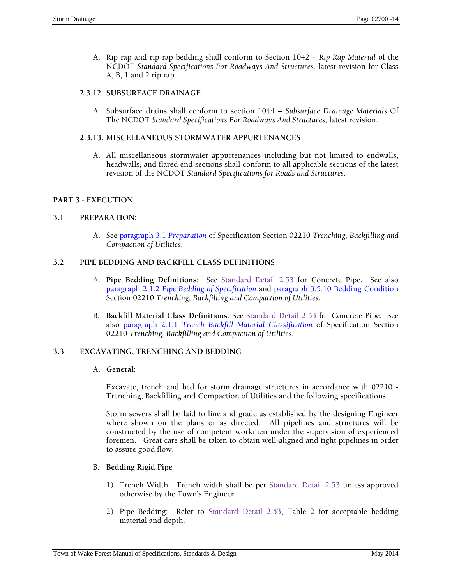A. Rip rap and rip rap bedding shall conform to Section 1042 – *Rip Rap Material* of the NCDOT *Standard Specifications For Roadways And Structures*, latest revision for Class A, B, 1 and 2 rip rap.

# **2.3.12. SUBSURFACE DRAINAGE**

A. Subsurface drains shall conform to section 1044 – *Subsurface Drainage Materials* Of The NCDOT *Standard Specifications For Roadways And Structures*, latest revision.

# **2.3.13. MISCELLANEOUS STORMWATER APPURTENANCES**

A. All miscellaneous stormwater appurtenances including but not limited to endwalls, headwalls, and flared end sections shall conform to all applicable sections of the latest revision of the NCDOT *Standard Specifications for Roads and Structures*.

# **PART 3 - EXECUTION**

#### **3.1 PREPARATION:**

A. See paragraph 3.1 *Preparation* of Specification Section 02210 *Trenching, Backfilling and Compaction of Utilities*.

#### **3.2 PIPE BEDDING AND BACKFILL CLASS DEFINITIONS**

- A. **Pipe Bedding Definitions**: See Standard Detail 2.53 for Concrete Pipe. See also paragraph 2.1.2 *Pipe Bedding of Specification* and paragraph 3.5.10 Bedding Condition Section 02210 *Trenching, Backfilling and Compaction of Utilities*.
- B. **Backfill Material Class Definitions**: See Standard Detail 2.53 for Concrete Pipe. See also paragraph 2.1.1 *Trench Backfill Material Classification* of Specification Section 02210 *Trenching, Backfilling and Compaction of Utilities*.

# **3.3 EXCAVATING, TRENCHING AND BEDDING**

#### A. **General:**

Excavate, trench and bed for storm drainage structures in accordance with 02210 - Trenching, Backfilling and Compaction of Utilities and the following specifications.

Storm sewers shall be laid to line and grade as established by the designing Engineer where shown on the plans or as directed. All pipelines and structures will be constructed by the use of competent workmen under the supervision of experienced foremen. Great care shall be taken to obtain well-aligned and tight pipelines in order to assure good flow.

# B. **Bedding Rigid Pipe**

- 1) Trench Width: Trench width shall be per Standard Detail 2.53 unless approved otherwise by the Town's Engineer.
- 2) Pipe Bedding: Refer to Standard Detail 2.53, Table 2 for acceptable bedding material and depth.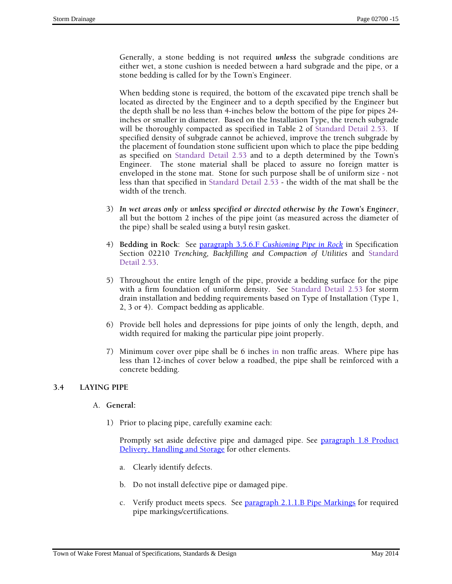Generally, a stone bedding is not required *unless* the subgrade conditions are either wet, a stone cushion is needed between a hard subgrade and the pipe, or a stone bedding is called for by the Town's Engineer.

When bedding stone is required, the bottom of the excavated pipe trench shall be located as directed by the Engineer and to a depth specified by the Engineer but the depth shall be no less than 4-inches below the bottom of the pipe for pipes 24 inches or smaller in diameter. Based on the Installation Type, the trench subgrade will be thoroughly compacted as specified in Table 2 of Standard Detail 2.53. If specified density of subgrade cannot be achieved, improve the trench subgrade by the placement of foundation stone sufficient upon which to place the pipe bedding as specified on Standard Detail 2.53 and to a depth determined by the Town's Engineer. The stone material shall be placed to assure no foreign matter is enveloped in the stone mat. Stone for such purpose shall be of uniform size - not less than that specified in Standard Detail 2.53 - the width of the mat shall be the width of the trench.

- 3) *In wet areas only* or *unless specified or directed otherwise by the Town's Engineer*, all but the bottom 2 inches of the pipe joint (as measured across the diameter of the pipe) shall be sealed using a butyl resin gasket.
- 4) **Bedding in Rock**: See paragraph 3.5.6.F *Cushioning Pipe in Rock* in Specification Section 02210 *Trenching, Backfilling and Compaction of Utilities* and Standard Detail 2.53.
- 5) Throughout the entire length of the pipe, provide a bedding surface for the pipe with a firm foundation of uniform density. See Standard Detail 2.53 for storm drain installation and bedding requirements based on Type of Installation (Type 1, 2, 3 or 4). Compact bedding as applicable.
- 6) Provide bell holes and depressions for pipe joints of only the length, depth, and width required for making the particular pipe joint properly.
- 7) Minimum cover over pipe shall be 6 inches in non traffic areas. Where pipe has less than 12-inches of cover below a roadbed, the pipe shall be reinforced with a concrete bedding.

# **3.4 LAYING PIPE**

# A. **General:**

1) Prior to placing pipe, carefully examine each:

Promptly set aside defective pipe and damaged pipe. See paragraph 1.8 Product Delivery, Handling and Storage for other elements.

- a. Clearly identify defects.
- b. Do not install defective pipe or damaged pipe.
- c. Verify product meets specs. See paragraph 2.1.1.B Pipe Markings for required pipe markings/certifications.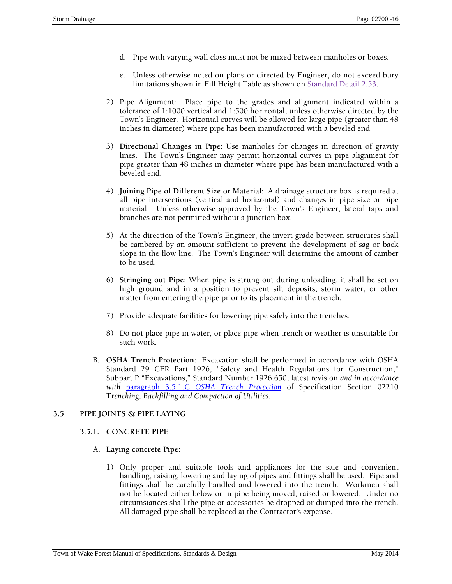- d. Pipe with varying wall class must not be mixed between manholes or boxes.
- e. Unless otherwise noted on plans or directed by Engineer, do not exceed bury limitations shown in Fill Height Table as shown on Standard Detail 2.53.
- 2) Pipe Alignment: Place pipe to the grades and alignment indicated within a tolerance of 1:1000 vertical and 1:500 horizontal, unless otherwise directed by the Town's Engineer. Horizontal curves will be allowed for large pipe (greater than 48 inches in diameter) where pipe has been manufactured with a beveled end.
- 3) **Directional Changes in Pipe**: Use manholes for changes in direction of gravity lines. The Town's Engineer may permit horizontal curves in pipe alignment for pipe greater than 48 inches in diameter where pipe has been manufactured with a beveled end.
- 4) **Joining Pipe of Different Size or Material:** A drainage structure box is required at all pipe intersections (vertical and horizontal) and changes in pipe size or pipe material. Unless otherwise approved by the Town's Engineer, lateral taps and branches are not permitted without a junction box.
- 5) At the direction of the Town's Engineer, the invert grade between structures shall be cambered by an amount sufficient to prevent the development of sag or back slope in the flow line. The Town's Engineer will determine the amount of camber to be used.
- 6) **Stringing out Pipe**: When pipe is strung out during unloading, it shall be set on high ground and in a position to prevent silt deposits, storm water, or other matter from entering the pipe prior to its placement in the trench.
- 7) Provide adequate facilities for lowering pipe safely into the trenches.
- 8) Do not place pipe in water, or place pipe when trench or weather is unsuitable for such work.
- B. **OSHA Trench Protection**: Excavation shall be performed in accordance with OSHA Standard 29 CFR Part 1926, "Safety and Health Regulations for Construction," Subpart P "Excavations," Standard Number 1926.650, latest revision *and in accordance with* paragraph 3.5.1.C *OSHA Trench Protection* of Specification Section 02210 Tr*enching, Backfilling and Compaction of Utilities*.

# **3.5 PIPE JOINTS & PIPE LAYING**

# **3.5.1. CONCRETE PIPE**

# A. **Laying concrete Pipe:**

1) Only proper and suitable tools and appliances for the safe and convenient handling, raising, lowering and laying of pipes and fittings shall be used. Pipe and fittings shall be carefully handled and lowered into the trench. Workmen shall not be located either below or in pipe being moved, raised or lowered. Under no circumstances shall the pipe or accessories be dropped or dumped into the trench. All damaged pipe shall be replaced at the Contractor's expense.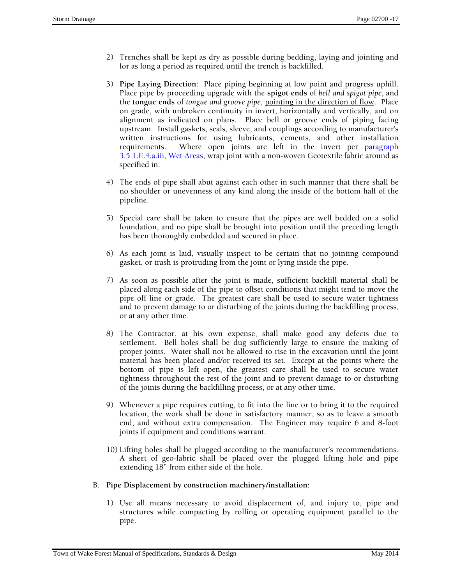- 2) Trenches shall be kept as dry as possible during bedding, laying and jointing and for as long a period as required until the trench is backfilled.
- 3) **Pipe Laying Direction**: Place piping beginning at low point and progress uphill. Place pipe by proceeding upgrade with the **spigot ends** of *bell and spigot pipe*, and the **tongue ends** of *tongue and groove pipe*, pointing in the direction of flow. Place on grade, with unbroken continuity in invert, horizontally and vertically, and on alignment as indicated on plans. Place bell or groove ends of piping facing upstream. Install gaskets, seals, sleeve, and couplings according to manufacturer's written instructions for using lubricants, cements, and other installation requirements. Where open joints are left in the invert per paragraph 3.5.1.E.4.a.iii, Wet Areas, wrap joint with a non-woven Geotextile fabric around as specified in.
- 4) The ends of pipe shall abut against each other in such manner that there shall be no shoulder or unevenness of any kind along the inside of the bottom half of the pipeline.
- 5) Special care shall be taken to ensure that the pipes are well bedded on a solid foundation, and no pipe shall be brought into position until the preceding length has been thoroughly embedded and secured in place.
- 6) As each joint is laid, visually inspect to be certain that no jointing compound gasket, or trash is protruding from the joint or lying inside the pipe.
- 7) As soon as possible after the joint is made, sufficient backfill material shall be placed along each side of the pipe to offset conditions that might tend to move the pipe off line or grade. The greatest care shall be used to secure water tightness and to prevent damage to or disturbing of the joints during the backfilling process, or at any other time.
- 8) The Contractor, at his own expense, shall make good any defects due to settlement. Bell holes shall be dug sufficiently large to ensure the making of proper joints. Water shall not be allowed to rise in the excavation until the joint material has been placed and/or received its set. Except at the points where the bottom of pipe is left open, the greatest care shall be used to secure water tightness throughout the rest of the joint and to prevent damage to or disturbing of the joints during the backfilling process, or at any other time.
- 9) Whenever a pipe requires cutting, to fit into the line or to bring it to the required location, the work shall be done in satisfactory manner, so as to leave a smooth end, and without extra compensation. The Engineer may require 6 and 8-foot joints if equipment and conditions warrant.
- 10) Lifting holes shall be plugged according to the manufacturer's recommendations. A sheet of geo-fabric shall be placed over the plugged lifting hole and pipe extending 18" from either side of the hole.
- B. **Pipe Displacement by construction machinery/installation:** 
	- 1) Use all means necessary to avoid displacement of, and injury to, pipe and structures while compacting by rolling or operating equipment parallel to the pipe.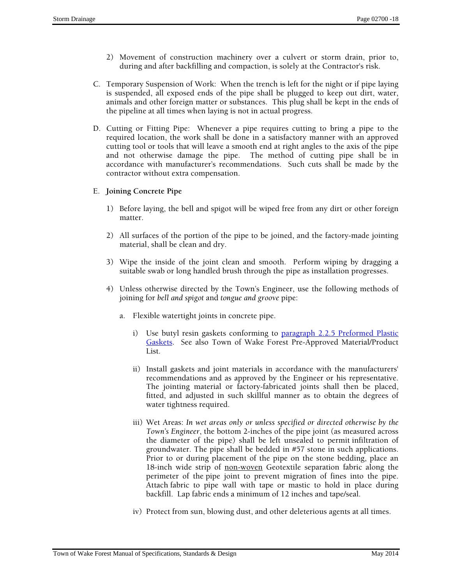- 2) Movement of construction machinery over a culvert or storm drain, prior to, during and after backfilling and compaction, is solely at the Contractor's risk.
- C. Temporary Suspension of Work: When the trench is left for the night or if pipe laying is suspended, all exposed ends of the pipe shall be plugged to keep out dirt, water, animals and other foreign matter or substances. This plug shall be kept in the ends of the pipeline at all times when laying is not in actual progress.
- D. Cutting or Fitting Pipe: Whenever a pipe requires cutting to bring a pipe to the required location, the work shall be done in a satisfactory manner with an approved cutting tool or tools that will leave a smooth end at right angles to the axis of the pipe and not otherwise damage the pipe. The method of cutting pipe shall be in accordance with manufacturer's recommendations. Such cuts shall be made by the contractor without extra compensation.
- E. **Joining Concrete Pipe** 
	- 1) Before laying, the bell and spigot will be wiped free from any dirt or other foreign matter.
	- 2) All surfaces of the portion of the pipe to be joined, and the factory-made jointing material, shall be clean and dry.
	- 3) Wipe the inside of the joint clean and smooth. Perform wiping by dragging a suitable swab or long handled brush through the pipe as installation progresses.
	- 4) Unless otherwise directed by the Town's Engineer, use the following methods of joining for *bell and spigot* and *tongue and groove* pipe:
		- a. Flexible watertight joints in concrete pipe.
			- i) Use butyl resin gaskets conforming to paragraph 2.2.5 Preformed Plastic Gaskets. See also Town of Wake Forest Pre-Approved Material/Product List.
			- ii) Install gaskets and joint materials in accordance with the manufacturers' recommendations and as approved by the Engineer or his representative. The jointing material or factory-fabricated joints shall then be placed, fitted, and adjusted in such skillful manner as to obtain the degrees of water tightness required.
			- iii) Wet Areas: *In wet areas only or unless specified or directed otherwise by the Town's Engineer*, the bottom 2-inches of the pipe joint (as measured across the diameter of the pipe) shall be left unsealed to permit infiltration of groundwater. The pipe shall be bedded in #57 stone in such applications. Prior to or during placement of the pipe on the stone bedding, place an 18-inch wide strip of non-woven Geotextile separation fabric along the perimeter of the pipe joint to prevent migration of fines into the pipe. Attach fabric to pipe wall with tape or mastic to hold in place during backfill. Lap fabric ends a minimum of 12 inches and tape/seal.
			- iv) Protect from sun, blowing dust, and other deleterious agents at all times.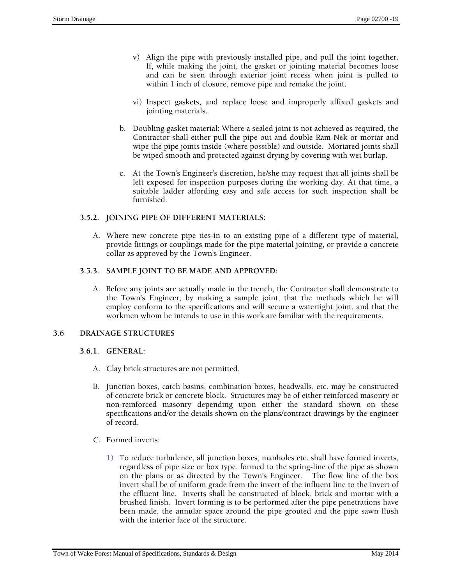- v) Align the pipe with previously installed pipe, and pull the joint together. If, while making the joint, the gasket or jointing material becomes loose and can be seen through exterior joint recess when joint is pulled to within 1 inch of closure, remove pipe and remake the joint.
- vi) Inspect gaskets, and replace loose and improperly affixed gaskets and jointing materials.
- b. Doubling gasket material: Where a sealed joint is not achieved as required, the Contractor shall either pull the pipe out and double Ram-Nek or mortar and wipe the pipe joints inside (where possible) and outside. Mortared joints shall be wiped smooth and protected against drying by covering with wet burlap.
- c. At the Town's Engineer's discretion, he/she may request that all joints shall be left exposed for inspection purposes during the working day. At that time, a suitable ladder affording easy and safe access for such inspection shall be furnished.

# **3.5.2. JOINING PIPE OF DIFFERENT MATERIALS:**

A. Where new concrete pipe ties-in to an existing pipe of a different type of material, provide fittings or couplings made for the pipe material jointing, or provide a concrete collar as approved by the Town's Engineer.

#### **3.5.3. SAMPLE JOINT TO BE MADE AND APPROVED:**

A. Before any joints are actually made in the trench, the Contractor shall demonstrate to the Town's Engineer, by making a sample joint, that the methods which he will employ conform to the specifications and will secure a watertight joint, and that the workmen whom he intends to use in this work are familiar with the requirements.

# **3.6 DRAINAGE STRUCTURES**

# **3.6.1. GENERAL:**

- A. Clay brick structures are not permitted.
- B. Junction boxes, catch basins, combination boxes, headwalls, etc. may be constructed of concrete brick or concrete block. Structures may be of either reinforced masonry or non-reinforced masonry depending upon either the standard shown on these specifications and/or the details shown on the plans/contract drawings by the engineer of record.
- C. Formed inverts:
	- 1) To reduce turbulence, all junction boxes, manholes etc. shall have formed inverts, regardless of pipe size or box type, formed to the spring-line of the pipe as shown on the plans or as directed by the Town's Engineer. The flow line of the box invert shall be of uniform grade from the invert of the influent line to the invert of the effluent line. Inverts shall be constructed of block, brick and mortar with a brushed finish. Invert forming is to be performed after the pipe penetrations have been made, the annular space around the pipe grouted and the pipe sawn flush with the interior face of the structure.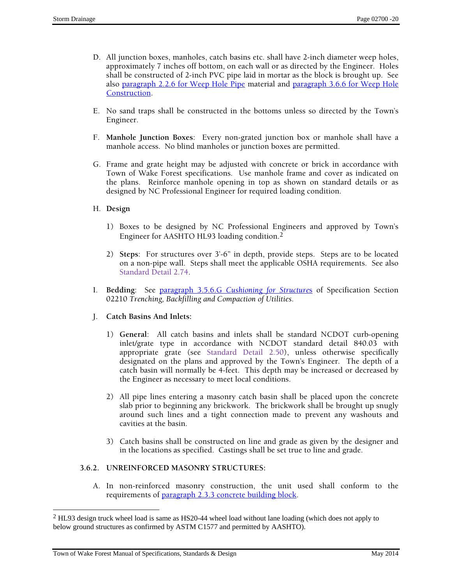- D. All junction boxes, manholes, catch basins etc. shall have 2-inch diameter weep holes, approximately 7 inches off bottom, on each wall or as directed by the Engineer. Holes shall be constructed of 2-inch PVC pipe laid in mortar as the block is brought up. See also paragraph 2.2.6 for Weep Hole Pipe material and paragraph 3.6.6 for Weep Hole Construction.
- E. No sand traps shall be constructed in the bottoms unless so directed by the Town's Engineer.
- F. **Manhole Junction Boxes**: Every non-grated junction box or manhole shall have a manhole access. No blind manholes or junction boxes are permitted.
- G. Frame and grate height may be adjusted with concrete or brick in accordance with Town of Wake Forest specifications. Use manhole frame and cover as indicated on the plans. Reinforce manhole opening in top as shown on standard details or as designed by NC Professional Engineer for required loading condition.
- H. **Design** 
	- 1) Boxes to be designed by NC Professional Engineers and approved by Town's Engineer for AASHTO HL93 loading condition.2
	- 2) **Steps**: For structures over 3'-6" in depth, provide steps. Steps are to be located on a non-pipe wall. Steps shall meet the applicable OSHA requirements. See also Standard Detail 2.74.
- I. **Bedding**: See paragraph 3.5.6.G *Cushioning for Structure*s of Specification Section 02210 *Trenching, Backfilling and Compaction of Utilities*.
- J. **Catch Basins And Inlets:** 
	- 1) **General**: All catch basins and inlets shall be standard NCDOT curb-opening inlet/grate type in accordance with NCDOT standard detail 840.03 with appropriate grate (see Standard Detail 2.50), unless otherwise specifically designated on the plans and approved by the Town's Engineer. The depth of a catch basin will normally be 4-feet. This depth may be increased or decreased by the Engineer as necessary to meet local conditions.
	- 2) All pipe lines entering a masonry catch basin shall be placed upon the concrete slab prior to beginning any brickwork. The brickwork shall be brought up snugly around such lines and a tight connection made to prevent any washouts and cavities at the basin.
	- 3) Catch basins shall be constructed on line and grade as given by the designer and in the locations as specified. Castings shall be set true to line and grade.

# **3.6.2. UNREINFORCED MASONRY STRUCTURES:**

A. In non-reinforced masonry construction, the unit used shall conform to the requirements of paragraph 2.3.3 concrete building block.

 $\overline{\phantom{a}}$ 

<sup>&</sup>lt;sup>2</sup> HL93 design truck wheel load is same as HS20-44 wheel load without lane loading (which does not apply to below ground structures as confirmed by ASTM C1577 and permitted by AASHTO).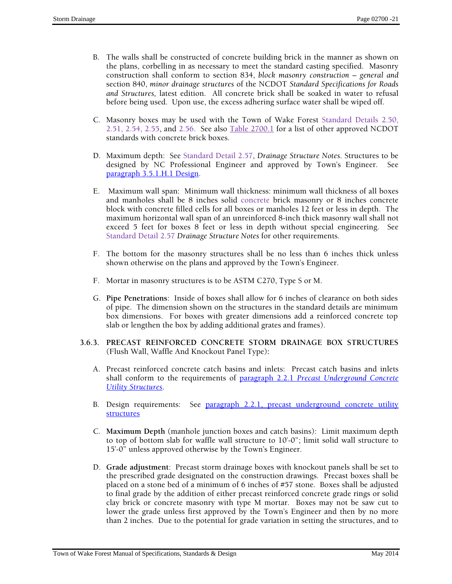- B. The walls shall be constructed of concrete building brick in the manner as shown on the plans, corbelling in as necessary to meet the standard casting specified. Masonry construction shall conform to section 834, *block masonry construction – general and* section 840, *minor drainage structures* of the NCDOT *Standard Specifications for Roads and Structures,* latest edition. All concrete brick shall be soaked in water to refusal before being used. Upon use, the excess adhering surface water shall be wiped off.
- C. Masonry boxes may be used with the Town of Wake Forest Standard Details 2.50, 2.51, 2.54, 2.55, and 2.56. See also  $Table 2700.1$  for a list of other approved NCDOT standards with concrete brick boxes.
- D. Maximum depth: See Standard Detail 2.57, *Drainage Structure Notes*. Structures to be designed by NC Professional Engineer and approved by Town's Engineer. See paragraph 3.5.1.H.1 Design.
- E. Maximum wall span: Minimum wall thickness: minimum wall thickness of all boxes and manholes shall be 8 inches solid concrete brick masonry or 8 inches concrete block with concrete filled cells for all boxes or manholes 12 feet or less in depth. The maximum horizontal wall span of an unreinforced 8-inch thick masonry wall shall not exceed 5 feet for boxes 8 feet or less in depth without special engineering. See Standard Detail 2.57 *Drainage Structure Notes* for other requirements.
- F. The bottom for the masonry structures shall be no less than 6 inches thick unless shown otherwise on the plans and approved by the Town's Engineer.
- F. Mortar in masonry structures is to be ASTM C270, Type S or M.
- G. **Pipe Penetrations**: Inside of boxes shall allow for 6 inches of clearance on both sides of pipe. The dimension shown on the structures in the standard details are minimum box dimensions. For boxes with greater dimensions add a reinforced concrete top slab or lengthen the box by adding additional grates and frames).
- **3.6.3. PRECAST REINFORCED CONCRETE STORM DRAINAGE BOX STRUCTURES**  (Flush Wall, Waffle And Knockout Panel Type)**:** 
	- A. Precast reinforced concrete catch basins and inlets: Precast catch basins and inlets shall conform to the requirements of paragraph 2.2.1 *Precast Underground Concrete Utility Structures*.
	- B. Design requirements: See paragraph 2.2.1, precast underground concrete utility structures
	- C. **Maximum Depth** (manhole junction boxes and catch basins): Limit maximum depth to top of bottom slab for waffle wall structure to 10'-0"; limit solid wall structure to 15'-0" unless approved otherwise by the Town's Engineer.
	- D. **Grade adjustment**: Precast storm drainage boxes with knockout panels shall be set to the prescribed grade designated on the construction drawings. Precast boxes shall be placed on a stone bed of a minimum of 6 inches of #57 stone. Boxes shall be adjusted to final grade by the addition of either precast reinforced concrete grade rings or solid clay brick or concrete masonry with type M mortar. Boxes may not be saw cut to lower the grade unless first approved by the Town's Engineer and then by no more than 2 inches. Due to the potential for grade variation in setting the structures, and to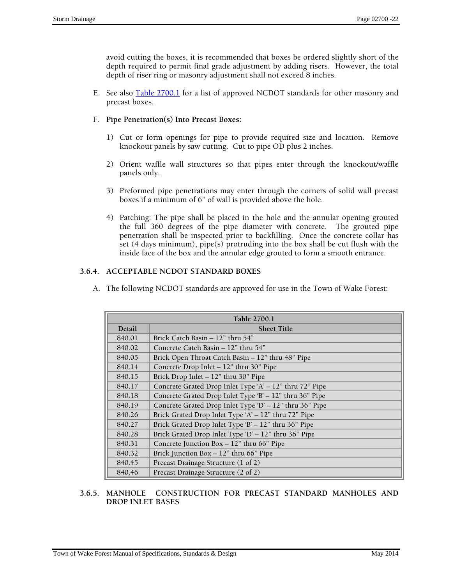avoid cutting the boxes, it is recommended that boxes be ordered slightly short of the depth required to permit final grade adjustment by adding risers. However, the total depth of riser ring or masonry adjustment shall not exceed 8 inches.

- E. See also **Table 2700.1** for a list of approved NCDOT standards for other masonry and precast boxes.
- F. **Pipe Penetration(s) Into Precast Boxes:** 
	- 1) Cut or form openings for pipe to provide required size and location. Remove knockout panels by saw cutting. Cut to pipe OD plus 2 inches.
	- 2) Orient waffle wall structures so that pipes enter through the knockout/waffle panels only.
	- 3) Preformed pipe penetrations may enter through the corners of solid wall precast boxes if a minimum of 6" of wall is provided above the hole.
	- 4) Patching: The pipe shall be placed in the hole and the annular opening grouted the full 360 degrees of the pipe diameter with concrete. The grouted pipe penetration shall be inspected prior to backfilling. Once the concrete collar has set (4 days minimum), pipe(s) protruding into the box shall be cut flush with the inside face of the box and the annular edge grouted to form a smooth entrance.

# **3.6.4. ACCEPTABLE NCDOT STANDARD BOXES**

|        | Table 2700.1                                              |  |  |
|--------|-----------------------------------------------------------|--|--|
| Detail | <b>Sheet Title</b>                                        |  |  |
| 840.01 | Brick Catch Basin – 12" thru 54"                          |  |  |
| 840.02 | Concrete Catch Basin – 12" thru 54"                       |  |  |
| 840.05 | Brick Open Throat Catch Basin - 12" thru 48" Pipe         |  |  |
| 840.14 | Concrete Drop Inlet - 12" thru 30" Pipe                   |  |  |
| 840.15 | Brick Drop Inlet - 12" thru 30" Pipe                      |  |  |
| 840.17 | Concrete Grated Drop Inlet Type 'A' - 12" thru 72" Pipe   |  |  |
| 840.18 | Concrete Grated Drop Inlet Type 'B' - 12" thru 36" Pipe   |  |  |
| 840.19 | Concrete Grated Drop Inlet Type 'D' $-12$ " thru 36" Pipe |  |  |
| 840.26 | Brick Grated Drop Inlet Type 'A' - 12" thru 72" Pipe      |  |  |
| 840.27 | Brick Grated Drop Inlet Type 'B' - 12" thru 36" Pipe      |  |  |
| 840.28 | Brick Grated Drop Inlet Type 'D' $-12$ " thru 36" Pipe    |  |  |
| 840.31 | Concrete Junction Box - 12" thru 66" Pipe                 |  |  |
| 840.32 | Brick Junction Box $-12$ " thru 66" Pipe                  |  |  |
| 840.45 | Precast Drainage Structure (1 of 2)                       |  |  |
| 840.46 | Precast Drainage Structure (2 of 2)                       |  |  |

A. The following NCDOT standards are approved for use in the Town of Wake Forest:

**3.6.5. MANHOLE CONSTRUCTION FOR PRECAST STANDARD MANHOLES AND DROP INLET BASES**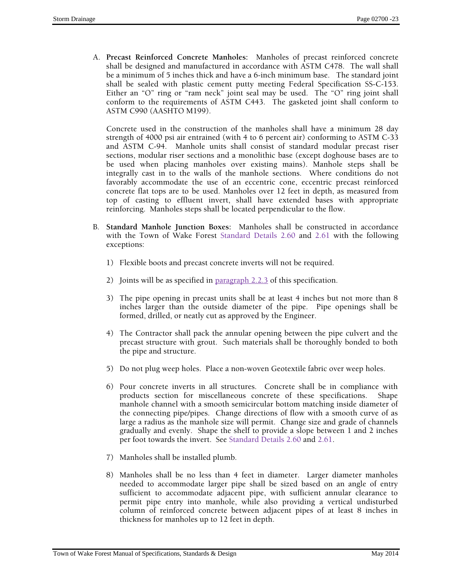A. **Precast Reinforced Concrete Manholes:** Manholes of precast reinforced concrete shall be designed and manufactured in accordance with ASTM C478. The wall shall be a minimum of 5 inches thick and have a 6-inch minimum base. The standard joint shall be sealed with plastic cement putty meeting Federal Specification SS-C-153. Either an "O" ring or "ram neck" joint seal may be used. The "O" ring joint shall conform to the requirements of ASTM C443. The gasketed joint shall conform to ASTM C990 (AASHTO M199).

Concrete used in the construction of the manholes shall have a minimum 28 day strength of 4000 psi air entrained (with 4 to 6 percent air) conforming to ASTM C-33 and ASTM C-94. Manhole units shall consist of standard modular precast riser sections, modular riser sections and a monolithic base (except doghouse bases are to be used when placing manholes over existing mains). Manhole steps shall be integrally cast in to the walls of the manhole sections. Where conditions do not favorably accommodate the use of an eccentric cone, eccentric precast reinforced concrete flat tops are to be used. Manholes over 12 feet in depth, as measured from top of casting to effluent invert, shall have extended bases with appropriate reinforcing. Manholes steps shall be located perpendicular to the flow.

- B. **Standard Manhole Junction Boxes:** Manholes shall be constructed in accordance with the Town of Wake Forest Standard Details 2.60 and 2.61 with the following exceptions:
	- 1) Flexible boots and precast concrete inverts will not be required.
	- 2) Joints will be as specified in paragraph 2.2.3 of this specification.
	- 3) The pipe opening in precast units shall be at least 4 inches but not more than 8 inches larger than the outside diameter of the pipe. Pipe openings shall be formed, drilled, or neatly cut as approved by the Engineer.
	- 4) The Contractor shall pack the annular opening between the pipe culvert and the precast structure with grout. Such materials shall be thoroughly bonded to both the pipe and structure.
	- 5) Do not plug weep holes. Place a non-woven Geotextile fabric over weep holes.
	- 6) Pour concrete inverts in all structures. Concrete shall be in compliance with products section for miscellaneous concrete of these specifications. Shape manhole channel with a smooth semicircular bottom matching inside diameter of the connecting pipe/pipes. Change directions of flow with a smooth curve of as large a radius as the manhole size will permit. Change size and grade of channels gradually and evenly. Shape the shelf to provide a slope between 1 and 2 inches per foot towards the invert. See Standard Details 2.60 and 2.61.
	- 7) Manholes shall be installed plumb.
	- 8) Manholes shall be no less than 4 feet in diameter. Larger diameter manholes needed to accommodate larger pipe shall be sized based on an angle of entry sufficient to accommodate adjacent pipe, with sufficient annular clearance to permit pipe entry into manhole, while also providing a vertical undisturbed column of reinforced concrete between adjacent pipes of at least 8 inches in thickness for manholes up to 12 feet in depth.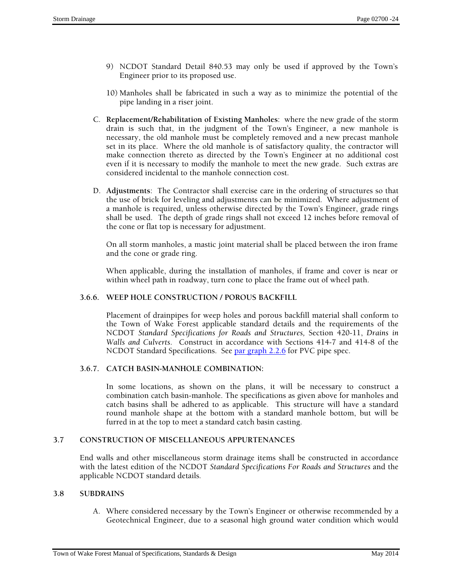- 9) NCDOT Standard Detail 840.53 may only be used if approved by the Town's Engineer prior to its proposed use.
- 10) Manholes shall be fabricated in such a way as to minimize the potential of the pipe landing in a riser joint.
- C. **Replacement/Rehabilitation of Existing Manholes**: where the new grade of the storm drain is such that, in the judgment of the Town's Engineer, a new manhole is necessary, the old manhole must be completely removed and a new precast manhole set in its place. Where the old manhole is of satisfactory quality, the contractor will make connection thereto as directed by the Town's Engineer at no additional cost even if it is necessary to modify the manhole to meet the new grade. Such extras are considered incidental to the manhole connection cost.
- D. **Adjustments**: The Contractor shall exercise care in the ordering of structures so that the use of brick for leveling and adjustments can be minimized. Where adjustment of a manhole is required, unless otherwise directed by the Town's Engineer, grade rings shall be used. The depth of grade rings shall not exceed 12 inches before removal of the cone or flat top is necessary for adjustment.

On all storm manholes, a mastic joint material shall be placed between the iron frame and the cone or grade ring.

When applicable, during the installation of manholes, if frame and cover is near or within wheel path in roadway, turn cone to place the frame out of wheel path.

# **3.6.6. WEEP HOLE CONSTRUCTION / POROUS BACKFILL**

Placement of drainpipes for weep holes and porous backfill material shall conform to the Town of Wake Forest applicable standard details and the requirements of the NCDOT *Standard Specifications for Roads and Structures,* Section 420-11, *Drains in Walls and Culverts*. Construct in accordance with Sections 414-7 and 414-8 of the NCDOT Standard Specifications. See par graph 2.2.6 for PVC pipe spec.

#### **3.6.7. CATCH BASIN-MANHOLE COMBINATION:**

In some locations, as shown on the plans, it will be necessary to construct a combination catch basin-manhole. The specifications as given above for manholes and catch basins shall be adhered to as applicable. This structure will have a standard round manhole shape at the bottom with a standard manhole bottom, but will be furred in at the top to meet a standard catch basin casting.

# **3.7 CONSTRUCTION OF MISCELLANEOUS APPURTENANCES**

End walls and other miscellaneous storm drainage items shall be constructed in accordance with the latest edition of the NCDOT *Standard Specifications For Roads and Structures* and the applicable NCDOT standard details*.*

#### **3.8 SUBDRAINS**

A. Where considered necessary by the Town's Engineer or otherwise recommended by a Geotechnical Engineer, due to a seasonal high ground water condition which would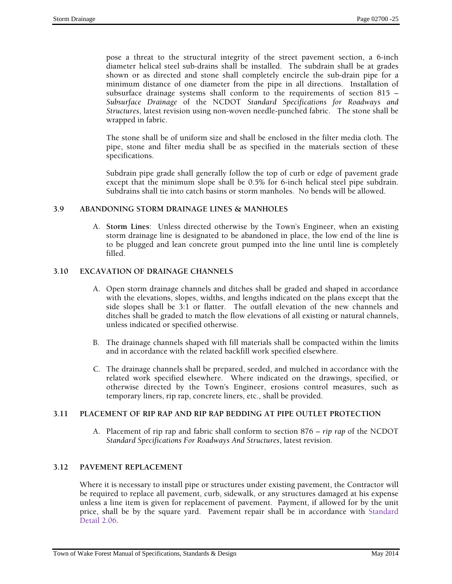pose a threat to the structural integrity of the street pavement section, a 6-inch diameter helical steel sub-drains shall be installed. The subdrain shall be at grades shown or as directed and stone shall completely encircle the sub-drain pipe for a minimum distance of one diameter from the pipe in all directions. Installation of subsurface drainage systems shall conform to the requirements of section 815 – *Subsurface Drainage* of the NCDOT *Standard Specifications for Roadways and Structures*, latest revision using non-woven needle-punched fabric. The stone shall be wrapped in fabric.

The stone shall be of uniform size and shall be enclosed in the filter media cloth. The pipe, stone and filter media shall be as specified in the materials section of these specifications.

Subdrain pipe grade shall generally follow the top of curb or edge of pavement grade except that the minimum slope shall be 0.5% for 6-inch helical steel pipe subdrain. Subdrains shall tie into catch basins or storm manholes. No bends will be allowed.

#### **3.9 ABANDONING STORM DRAINAGE LINES & MANHOLES**

A. **Storm Lines**: Unless directed otherwise by the Town's Engineer, when an existing storm drainage line is designated to be abandoned in place, the low end of the line is to be plugged and lean concrete grout pumped into the line until line is completely filled.

#### **3.10 EXCAVATION OF DRAINAGE CHANNELS**

- A. Open storm drainage channels and ditches shall be graded and shaped in accordance with the elevations, slopes, widths, and lengths indicated on the plans except that the side slopes shall be 3:1 or flatter. The outfall elevation of the new channels and ditches shall be graded to match the flow elevations of all existing or natural channels, unless indicated or specified otherwise.
- B. The drainage channels shaped with fill materials shall be compacted within the limits and in accordance with the related backfill work specified elsewhere.
- C. The drainage channels shall be prepared, seeded, and mulched in accordance with the related work specified elsewhere. Where indicated on the drawings, specified, or otherwise directed by the Town's Engineer, erosions control measures, such as temporary liners, rip rap, concrete liners, etc., shall be provided.

# **3.11 PLACEMENT OF RIP RAP AND RIP RAP BEDDING AT PIPE OUTLET PROTECTION**

A. Placement of rip rap and fabric shall conform to section 876 – *rip rap* of the NCDOT *Standard Specifications For Roadways And Structures*, latest revision.

# **3.12 PAVEMENT REPLACEMENT**

Where it is necessary to install pipe or structures under existing pavement, the Contractor will be required to replace all pavement, curb, sidewalk, or any structures damaged at his expense unless a line item is given for replacement of pavement. Payment, if allowed for by the unit price, shall be by the square yard. Pavement repair shall be in accordance with Standard Detail 2.06.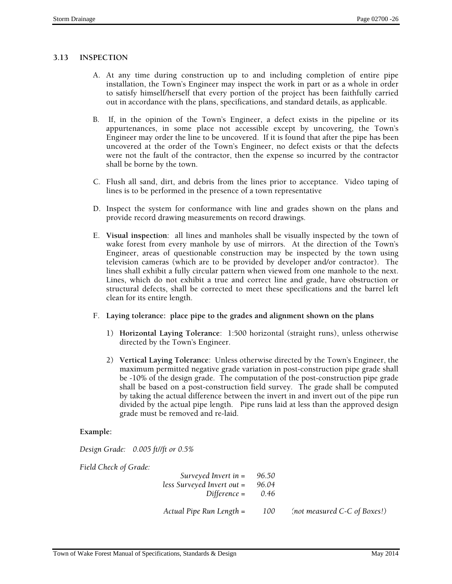#### **3.13 INSPECTION**

- A. At any time during construction up to and including completion of entire pipe installation, the Town's Engineer may inspect the work in part or as a whole in order to satisfy himself/herself that every portion of the project has been faithfully carried out in accordance with the plans, specifications, and standard details, as applicable.
- B. If, in the opinion of the Town's Engineer, a defect exists in the pipeline or its appurtenances, in some place not accessible except by uncovering, the Town's Engineer may order the line to be uncovered. If it is found that after the pipe has been uncovered at the order of the Town's Engineer, no defect exists or that the defects were not the fault of the contractor, then the expense so incurred by the contractor shall be borne by the town.
- C. Flush all sand, dirt, and debris from the lines prior to acceptance. Video taping of lines is to be performed in the presence of a town representative
- D. Inspect the system for conformance with line and grades shown on the plans and provide record drawing measurements on record drawings.
- E. **Visual inspection**: all lines and manholes shall be visually inspected by the town of wake forest from every manhole by use of mirrors. At the direction of the Town's Engineer, areas of questionable construction may be inspected by the town using television cameras (which are to be provided by developer and/or contractor). The lines shall exhibit a fully circular pattern when viewed from one manhole to the next. Lines, which do not exhibit a true and correct line and grade, have obstruction or structural defects, shall be corrected to meet these specifications and the barrel left clean for its entire length.
- F. **Laying tolerance: place pipe to the grades and alignment shown on the plans** 
	- 1) **Horizontal Laying Tolerance**: 1:500 horizontal (straight runs), unless otherwise directed by the Town's Engineer.
	- 2) **Vertical Laying Tolerance**: Unless otherwise directed by the Town's Engineer, the maximum permitted negative grade variation in post-construction pipe grade shall be -10% of the design grade. The computation of the post-construction pipe grade shall be based on a post-construction field survey. The grade shall be computed by taking the actual difference between the invert in and invert out of the pipe run divided by the actual pipe length. Pipe runs laid at less than the approved design grade must be removed and re-laid.

# **Example:**

*Design Grade: 0.005 ft//ft or 0.5%* 

*Field Check of Grade:* 

| Surveyed Invert in $=$<br>$less Surveyed Invert out =$<br>$Difference =$ | 96.50<br>96.04<br>0.46 |                              |
|--------------------------------------------------------------------------|------------------------|------------------------------|
| Actual Pipe Run Length $=$                                               | 100                    | (not measured C-C of Boxes!) |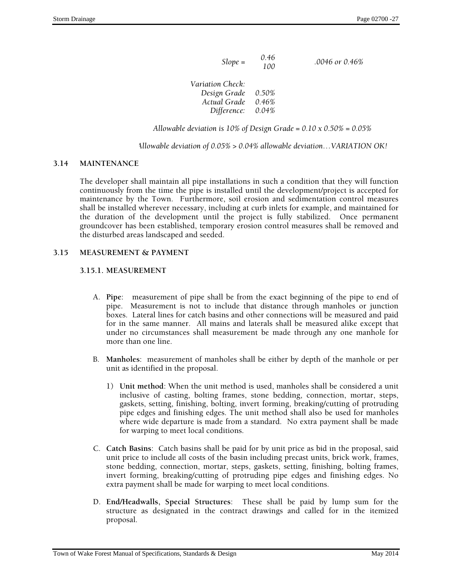| $Slope =$ | 0.46<br>100 | .0046 or 0.46% |
|-----------|-------------|----------------|
|-----------|-------------|----------------|

*Variation Check: Design Grade 0.50% Actual Grade 0.46% Difference: 0.04%* 

*Allowable deviation is 10% of Design Grade = 0.10 x 0.50% = 0.05%*

*Allowable deviation of 0.05% > 0.04% allowable deviation…VARIATION OK!*

#### **3.14 MAINTENANCE**

The developer shall maintain all pipe installations in such a condition that they will function continuously from the time the pipe is installed until the development/project is accepted for maintenance by the Town. Furthermore, soil erosion and sedimentation control measures shall be installed wherever necessary, including at curb inlets for example, and maintained for the duration of the development until the project is fully stabilized. Once permanent groundcover has been established, temporary erosion control measures shall be removed and the disturbed areas landscaped and seeded.

#### **3.15 MEASUREMENT & PAYMENT**

#### **3.15.1. MEASUREMENT**

- A. **Pipe**: measurement of pipe shall be from the exact beginning of the pipe to end of pipe. Measurement is not to include that distance through manholes or junction boxes. Lateral lines for catch basins and other connections will be measured and paid for in the same manner. All mains and laterals shall be measured alike except that under no circumstances shall measurement be made through any one manhole for more than one line.
- B. **Manholes**: measurement of manholes shall be either by depth of the manhole or per unit as identified in the proposal.
	- 1) **Unit method**: When the unit method is used, manholes shall be considered a unit inclusive of casting, bolting frames, stone bedding, connection, mortar, steps, gaskets, setting, finishing, bolting, invert forming, breaking/cutting of protruding pipe edges and finishing edges. The unit method shall also be used for manholes where wide departure is made from a standard. No extra payment shall be made for warping to meet local conditions.
- C. **Catch Basins**: Catch basins shall be paid for by unit price as bid in the proposal, said unit price to include all costs of the basin including precast units, brick work, frames, stone bedding, connection, mortar, steps, gaskets, setting, finishing, bolting frames, invert forming, breaking/cutting of protruding pipe edges and finishing edges. No extra payment shall be made for warping to meet local conditions.
- D. **End/Headwalls, Special Structures**: These shall be paid by lump sum for the structure as designated in the contract drawings and called for in the itemized proposal.